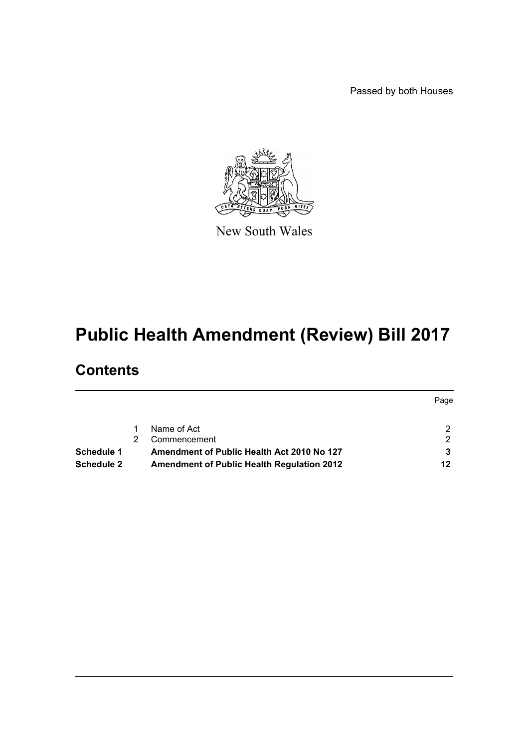Passed by both Houses



New South Wales

# **Public Health Amendment (Review) Bill 2017**

# **Contents**

|            |                                                   | Page |
|------------|---------------------------------------------------|------|
|            |                                                   |      |
|            | Name of Act                                       | 2    |
|            | Commencement                                      | ົ    |
| Schedule 1 | Amendment of Public Health Act 2010 No 127        |      |
| Schedule 2 | <b>Amendment of Public Health Regulation 2012</b> | 12   |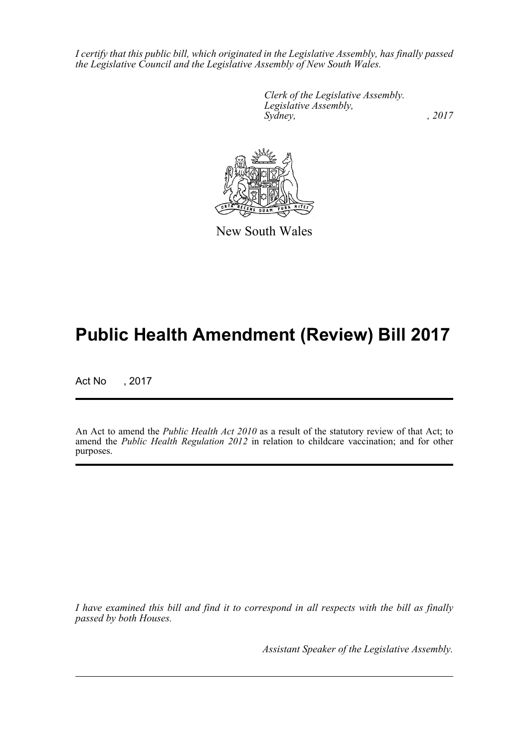*I certify that this public bill, which originated in the Legislative Assembly, has finally passed the Legislative Council and the Legislative Assembly of New South Wales.*

> *Clerk of the Legislative Assembly. Legislative Assembly, Sydney,* , 2017



New South Wales

# **Public Health Amendment (Review) Bill 2017**

Act No , 2017

An Act to amend the *Public Health Act 2010* as a result of the statutory review of that Act; to amend the *Public Health Regulation 2012* in relation to childcare vaccination; and for other purposes.

*I have examined this bill and find it to correspond in all respects with the bill as finally passed by both Houses.*

*Assistant Speaker of the Legislative Assembly.*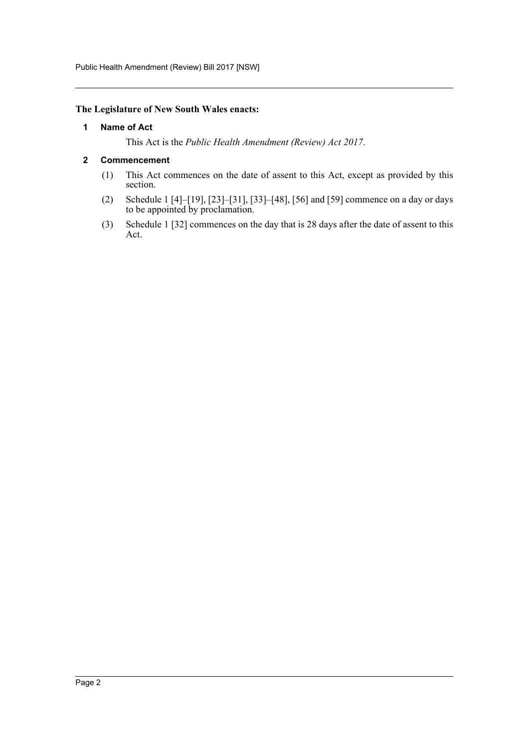Public Health Amendment (Review) Bill 2017 [NSW]

#### <span id="page-2-0"></span>**The Legislature of New South Wales enacts:**

#### **1 Name of Act**

This Act is the *Public Health Amendment (Review) Act 2017*.

#### <span id="page-2-1"></span>**2 Commencement**

- (1) This Act commences on the date of assent to this Act, except as provided by this section.
- (2) Schedule 1 [4]–[19], [23]–[31], [33]–[48], [56] and [59] commence on a day or days to be appointed by proclamation.
- (3) Schedule 1 [32] commences on the day that is 28 days after the date of assent to this Act.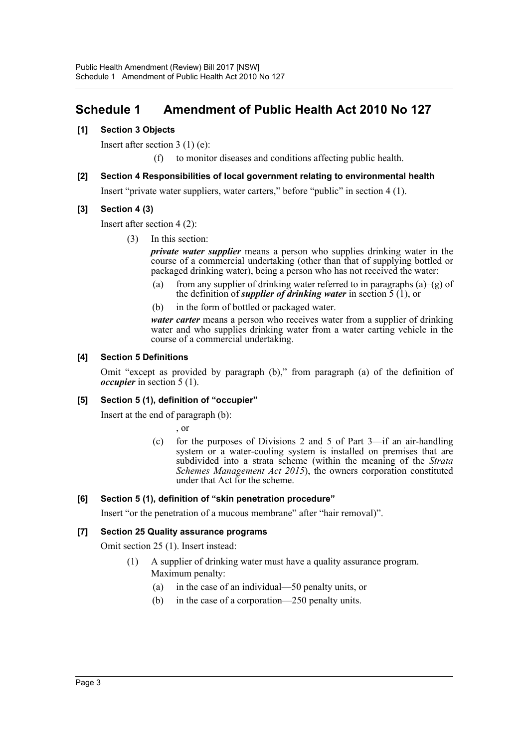# <span id="page-3-0"></span>**Schedule 1 Amendment of Public Health Act 2010 No 127**

# **[1] Section 3 Objects**

Insert after section 3 (1) (e):

(f) to monitor diseases and conditions affecting public health.

# **[2] Section 4 Responsibilities of local government relating to environmental health**

Insert "private water suppliers, water carters," before "public" in section 4 (1).

# **[3] Section 4 (3)**

Insert after section 4 (2):

(3) In this section:

*private water supplier* means a person who supplies drinking water in the course of a commercial undertaking (other than that of supplying bottled or packaged drinking water), being a person who has not received the water:

- (a) from any supplier of drinking water referred to in paragraphs (a)–(g) of the definition of *supplier of drinking water* in section 5 (1), or
- (b) in the form of bottled or packaged water.

*water carter* means a person who receives water from a supplier of drinking water and who supplies drinking water from a water carting vehicle in the course of a commercial undertaking.

# **[4] Section 5 Definitions**

Omit "except as provided by paragraph (b)," from paragraph (a) of the definition of *occupier* in section 5 (1).

# **[5] Section 5 (1), definition of "occupier"**

Insert at the end of paragraph (b):

, or

(c) for the purposes of Divisions 2 and 5 of Part 3—if an air-handling system or a water-cooling system is installed on premises that are subdivided into a strata scheme (within the meaning of the *Strata Schemes Management Act 2015*), the owners corporation constituted under that Act for the scheme.

#### **[6] Section 5 (1), definition of "skin penetration procedure"**

Insert "or the penetration of a mucous membrane" after "hair removal)".

# **[7] Section 25 Quality assurance programs**

Omit section 25 (1). Insert instead:

- (1) A supplier of drinking water must have a quality assurance program. Maximum penalty:
	- (a) in the case of an individual—50 penalty units, or
	- (b) in the case of a corporation—250 penalty units.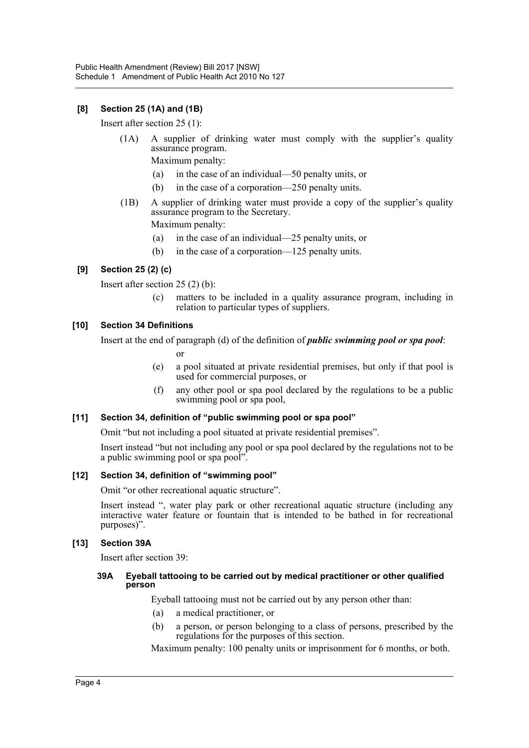# **[8] Section 25 (1A) and (1B)**

Insert after section 25 (1):

(1A) A supplier of drinking water must comply with the supplier's quality assurance program.

Maximum penalty:

- (a) in the case of an individual—50 penalty units, or
- (b) in the case of a corporation—250 penalty units.
- (1B) A supplier of drinking water must provide a copy of the supplier's quality assurance program to the Secretary.

Maximum penalty:

- (a) in the case of an individual—25 penalty units, or
- (b) in the case of a corporation—125 penalty units.

# **[9] Section 25 (2) (c)**

Insert after section 25 (2) (b):

(c) matters to be included in a quality assurance program, including in relation to particular types of suppliers.

#### **[10] Section 34 Definitions**

Insert at the end of paragraph (d) of the definition of *public swimming pool or spa pool*:

or

- (e) a pool situated at private residential premises, but only if that pool is used for commercial purposes, or
- (f) any other pool or spa pool declared by the regulations to be a public swimming pool or spa pool,

#### **[11] Section 34, definition of "public swimming pool or spa pool"**

Omit "but not including a pool situated at private residential premises".

Insert instead "but not including any pool or spa pool declared by the regulations not to be a public swimming pool or spa pool".

#### **[12] Section 34, definition of "swimming pool"**

Omit "or other recreational aquatic structure".

Insert instead ", water play park or other recreational aquatic structure (including any interactive water feature or fountain that is intended to be bathed in for recreational purposes)".

#### **[13] Section 39A**

Insert after section 39:

#### **39A Eyeball tattooing to be carried out by medical practitioner or other qualified person**

Eyeball tattooing must not be carried out by any person other than:

- (a) a medical practitioner, or
- (b) a person, or person belonging to a class of persons, prescribed by the regulations for the purposes of this section.

Maximum penalty: 100 penalty units or imprisonment for 6 months, or both.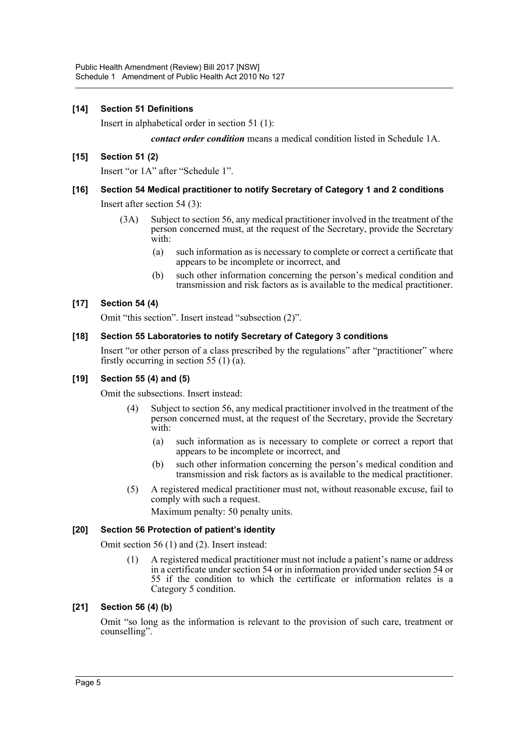# **[14] Section 51 Definitions**

Insert in alphabetical order in section 51 (1):

*contact order condition* means a medical condition listed in Schedule 1A.

#### **[15] Section 51 (2)**

Insert "or 1A" after "Schedule 1".

# **[16] Section 54 Medical practitioner to notify Secretary of Category 1 and 2 conditions**

Insert after section 54 (3):

- (3A) Subject to section 56, any medical practitioner involved in the treatment of the person concerned must, at the request of the Secretary, provide the Secretary with:
	- (a) such information as is necessary to complete or correct a certificate that appears to be incomplete or incorrect, and
	- (b) such other information concerning the person's medical condition and transmission and risk factors as is available to the medical practitioner.

#### **[17] Section 54 (4)**

Omit "this section". Insert instead "subsection (2)".

#### **[18] Section 55 Laboratories to notify Secretary of Category 3 conditions**

Insert "or other person of a class prescribed by the regulations" after "practitioner" where firstly occurring in section 55 (1) $\bar{a}$ ).

#### **[19] Section 55 (4) and (5)**

Omit the subsections. Insert instead:

- Subject to section 56, any medical practitioner involved in the treatment of the person concerned must, at the request of the Secretary, provide the Secretary with:
	- (a) such information as is necessary to complete or correct a report that appears to be incomplete or incorrect, and
	- (b) such other information concerning the person's medical condition and transmission and risk factors as is available to the medical practitioner.
- (5) A registered medical practitioner must not, without reasonable excuse, fail to comply with such a request.

Maximum penalty: 50 penalty units.

#### **[20] Section 56 Protection of patient's identity**

Omit section 56 (1) and (2). Insert instead:

(1) A registered medical practitioner must not include a patient's name or address in a certificate under section 54 or in information provided under section 54 or 55 if the condition to which the certificate or information relates is a Category 5 condition.

#### **[21] Section 56 (4) (b)**

Omit "so long as the information is relevant to the provision of such care, treatment or counselling".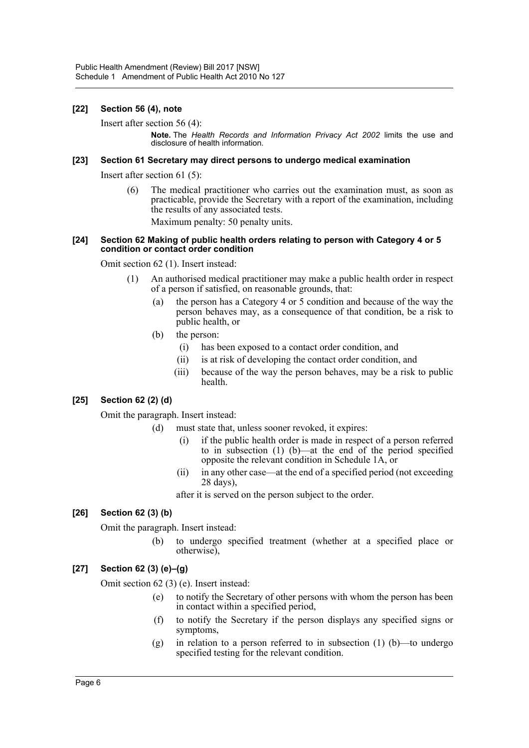### **[22] Section 56 (4), note**

Insert after section 56 (4):

**Note.** The *Health Records and Information Privacy Act 2002* limits the use and disclosure of health information.

#### **[23] Section 61 Secretary may direct persons to undergo medical examination**

Insert after section 61 (5):

(6) The medical practitioner who carries out the examination must, as soon as practicable, provide the Secretary with a report of the examination, including the results of any associated tests.

Maximum penalty: 50 penalty units.

#### **[24] Section 62 Making of public health orders relating to person with Category 4 or 5 condition or contact order condition**

Omit section 62 (1). Insert instead:

- (1) An authorised medical practitioner may make a public health order in respect of a person if satisfied, on reasonable grounds, that:
	- (a) the person has a Category 4 or 5 condition and because of the way the person behaves may, as a consequence of that condition, be a risk to public health, or
	- (b) the person:
		- (i) has been exposed to a contact order condition, and
		- (ii) is at risk of developing the contact order condition, and
		- (iii) because of the way the person behaves, may be a risk to public health.

# **[25] Section 62 (2) (d)**

Omit the paragraph. Insert instead:

- (d) must state that, unless sooner revoked, it expires:
	- (i) if the public health order is made in respect of a person referred to in subsection (1) (b)—at the end of the period specified opposite the relevant condition in Schedule 1A, or
	- (ii) in any other case—at the end of a specified period (not exceeding 28 days),

after it is served on the person subject to the order.

# **[26] Section 62 (3) (b)**

Omit the paragraph. Insert instead:

(b) to undergo specified treatment (whether at a specified place or otherwise),

# **[27] Section 62 (3) (e)–(g)**

Omit section 62 (3) (e). Insert instead:

- (e) to notify the Secretary of other persons with whom the person has been in contact within a specified period,
- (f) to notify the Secretary if the person displays any specified signs or symptoms,
- (g) in relation to a person referred to in subsection  $(1)$   $(b)$ —to undergo specified testing for the relevant condition.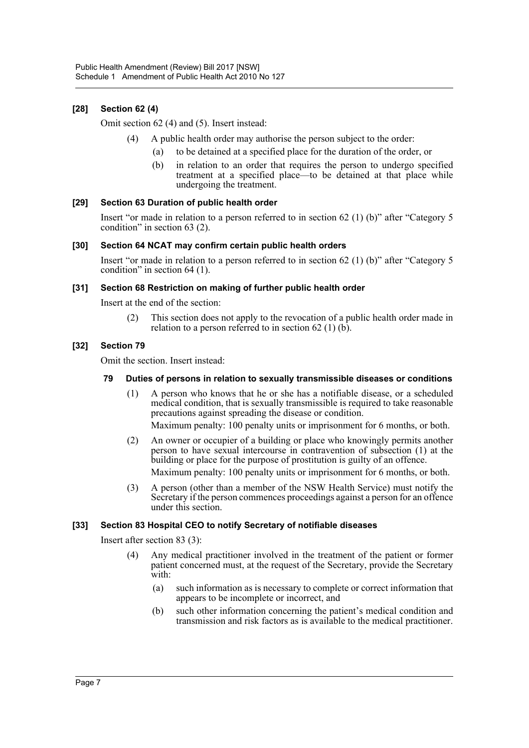# **[28] Section 62 (4)**

Omit section 62 (4) and (5). Insert instead:

- (4) A public health order may authorise the person subject to the order:
	- (a) to be detained at a specified place for the duration of the order, or
	- (b) in relation to an order that requires the person to undergo specified treatment at a specified place—to be detained at that place while undergoing the treatment.

#### **[29] Section 63 Duration of public health order**

Insert "or made in relation to a person referred to in section 62 (1) (b)" after "Category 5 condition" in section 63 (2).

#### **[30] Section 64 NCAT may confirm certain public health orders**

Insert "or made in relation to a person referred to in section 62 (1) (b)" after "Category 5 condition" in section 64 (1).

# **[31] Section 68 Restriction on making of further public health order**

Insert at the end of the section:

(2) This section does not apply to the revocation of a public health order made in relation to a person referred to in section  $62$  (1) (b).

# **[32] Section 79**

Omit the section. Insert instead:

#### **79 Duties of persons in relation to sexually transmissible diseases or conditions**

- (1) A person who knows that he or she has a notifiable disease, or a scheduled medical condition, that is sexually transmissible is required to take reasonable precautions against spreading the disease or condition. Maximum penalty: 100 penalty units or imprisonment for 6 months, or both.
- (2) An owner or occupier of a building or place who knowingly permits another person to have sexual intercourse in contravention of subsection (1) at the building or place for the purpose of prostitution is guilty of an offence. Maximum penalty: 100 penalty units or imprisonment for 6 months, or both.
- (3) A person (other than a member of the NSW Health Service) must notify the Secretary if the person commences proceedings against a person for an offence under this section.

#### **[33] Section 83 Hospital CEO to notify Secretary of notifiable diseases**

Insert after section 83 (3):

- (4) Any medical practitioner involved in the treatment of the patient or former patient concerned must, at the request of the Secretary, provide the Secretary with:
	- (a) such information as is necessary to complete or correct information that appears to be incomplete or incorrect, and
	- (b) such other information concerning the patient's medical condition and transmission and risk factors as is available to the medical practitioner.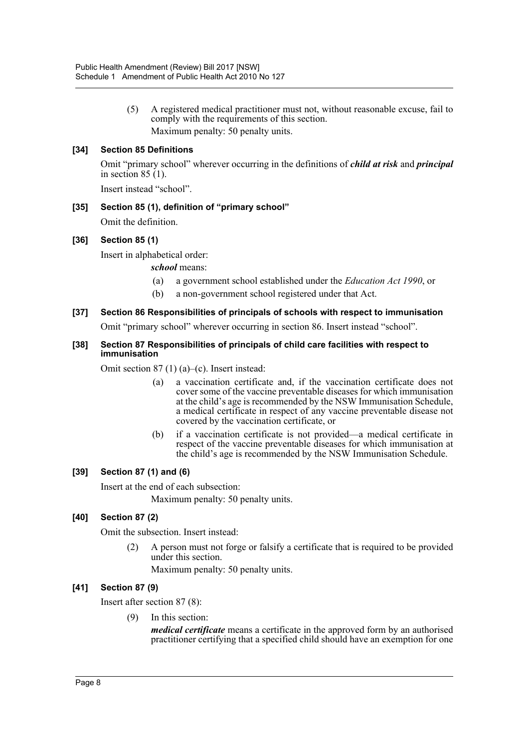(5) A registered medical practitioner must not, without reasonable excuse, fail to comply with the requirements of this section. Maximum penalty: 50 penalty units.

# **[34] Section 85 Definitions**

Omit "primary school" wherever occurring in the definitions of *child at risk* and *principal* in section  $85(1)$ .

Insert instead "school".

# **[35] Section 85 (1), definition of "primary school"**

Omit the definition.

# **[36] Section 85 (1)**

Insert in alphabetical order:

*school* means:

- (a) a government school established under the *Education Act 1990*, or
- (b) a non-government school registered under that Act.
- **[37] Section 86 Responsibilities of principals of schools with respect to immunisation**

Omit "primary school" wherever occurring in section 86. Insert instead "school".

#### **[38] Section 87 Responsibilities of principals of child care facilities with respect to immunisation**

Omit section 87 (1) (a)–(c). Insert instead:

- (a) a vaccination certificate and, if the vaccination certificate does not cover some of the vaccine preventable diseases for which immunisation at the child's age is recommended by the NSW Immunisation Schedule, a medical certificate in respect of any vaccine preventable disease not covered by the vaccination certificate, or
- (b) if a vaccination certificate is not provided—a medical certificate in respect of the vaccine preventable diseases for which immunisation at the child's age is recommended by the NSW Immunisation Schedule.

# **[39] Section 87 (1) and (6)**

Insert at the end of each subsection:

Maximum penalty: 50 penalty units.

# **[40] Section 87 (2)**

Omit the subsection. Insert instead:

(2) A person must not forge or falsify a certificate that is required to be provided under this section.

Maximum penalty: 50 penalty units.

#### **[41] Section 87 (9)**

Insert after section 87 (8):

(9) In this section:

*medical certificate* means a certificate in the approved form by an authorised practitioner certifying that a specified child should have an exemption for one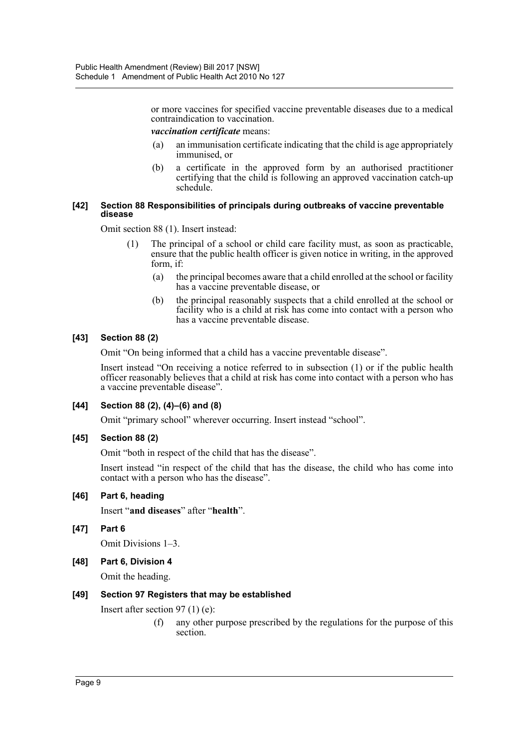or more vaccines for specified vaccine preventable diseases due to a medical contraindication to vaccination.

#### *vaccination certificate* means:

- (a) an immunisation certificate indicating that the child is age appropriately immunised, or
- (b) a certificate in the approved form by an authorised practitioner certifying that the child is following an approved vaccination catch-up schedule.

#### **[42] Section 88 Responsibilities of principals during outbreaks of vaccine preventable disease**

Omit section 88 (1). Insert instead:

- (1) The principal of a school or child care facility must, as soon as practicable, ensure that the public health officer is given notice in writing, in the approved form, if:
	- (a) the principal becomes aware that a child enrolled at the school or facility has a vaccine preventable disease, or
	- (b) the principal reasonably suspects that a child enrolled at the school or facility who is a child at risk has come into contact with a person who has a vaccine preventable disease.

# **[43] Section 88 (2)**

Omit "On being informed that a child has a vaccine preventable disease".

Insert instead "On receiving a notice referred to in subsection (1) or if the public health officer reasonably believes that a child at risk has come into contact with a person who has a vaccine preventable disease".

# **[44] Section 88 (2), (4)–(6) and (8)**

Omit "primary school" wherever occurring. Insert instead "school".

#### **[45] Section 88 (2)**

Omit "both in respect of the child that has the disease".

Insert instead "in respect of the child that has the disease, the child who has come into contact with a person who has the disease".

#### **[46] Part 6, heading**

Insert "**and diseases**" after "**health**".

# **[47] Part 6**

Omit Divisions 1–3.

#### **[48] Part 6, Division 4**

Omit the heading.

#### **[49] Section 97 Registers that may be established**

Insert after section 97 (1) (e):

(f) any other purpose prescribed by the regulations for the purpose of this section.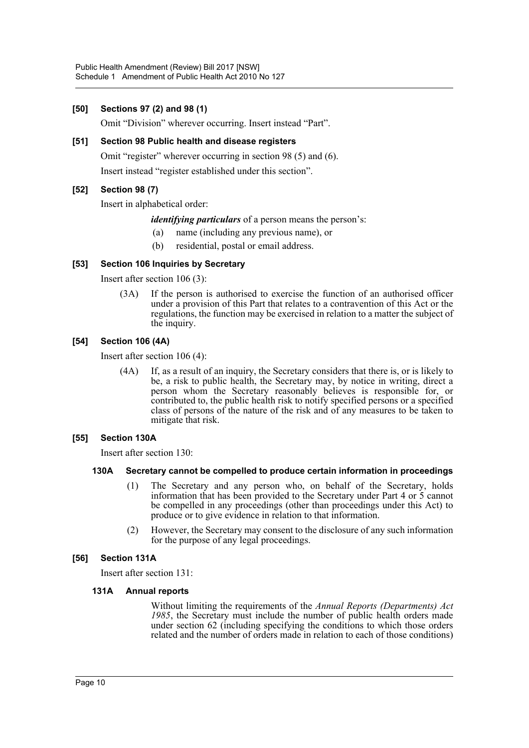### **[50] Sections 97 (2) and 98 (1)**

Omit "Division" wherever occurring. Insert instead "Part".

### **[51] Section 98 Public health and disease registers**

Omit "register" wherever occurring in section 98 (5) and (6).

Insert instead "register established under this section".

# **[52] Section 98 (7)**

Insert in alphabetical order:

#### *identifying particulars* of a person means the person's:

- (a) name (including any previous name), or
- (b) residential, postal or email address.

# **[53] Section 106 Inquiries by Secretary**

Insert after section 106 (3):

(3A) If the person is authorised to exercise the function of an authorised officer under a provision of this Part that relates to a contravention of this Act or the regulations, the function may be exercised in relation to a matter the subject of the inquiry.

# **[54] Section 106 (4A)**

Insert after section 106 (4):

(4A) If, as a result of an inquiry, the Secretary considers that there is, or is likely to be, a risk to public health, the Secretary may, by notice in writing, direct a person whom the Secretary reasonably believes is responsible for, or contributed to, the public health risk to notify specified persons or a specified class of persons of the nature of the risk and of any measures to be taken to mitigate that risk.

#### **[55] Section 130A**

Insert after section 130:

#### **130A Secretary cannot be compelled to produce certain information in proceedings**

- (1) The Secretary and any person who, on behalf of the Secretary, holds information that has been provided to the Secretary under Part 4 or 5 cannot be compelled in any proceedings (other than proceedings under this Act) to produce or to give evidence in relation to that information.
- (2) However, the Secretary may consent to the disclosure of any such information for the purpose of any legal proceedings.

#### **[56] Section 131A**

Insert after section 131:

#### **131A Annual reports**

Without limiting the requirements of the *Annual Reports (Departments) Act 1985*, the Secretary must include the number of public health orders made under section 62 (including specifying the conditions to which those orders related and the number of orders made in relation to each of those conditions)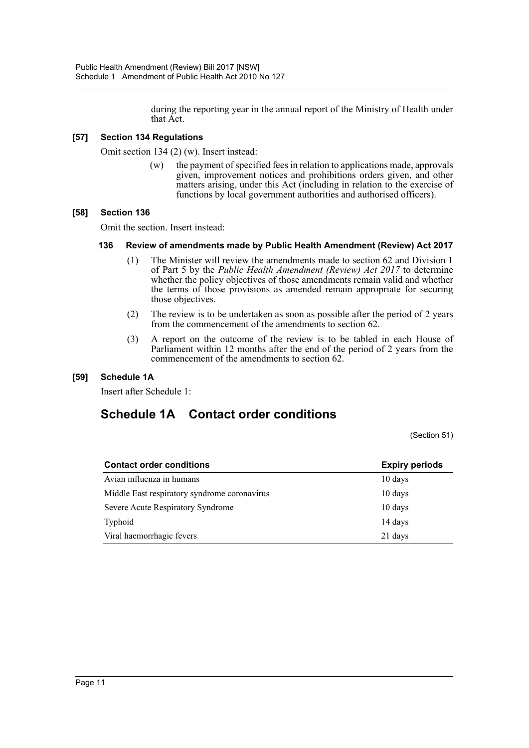during the reporting year in the annual report of the Ministry of Health under that Act.

# **[57] Section 134 Regulations**

Omit section 134 (2) (w). Insert instead:

(w) the payment of specified fees in relation to applications made, approvals given, improvement notices and prohibitions orders given, and other matters arising, under this Act (including in relation to the exercise of functions by local government authorities and authorised officers).

#### **[58] Section 136**

Omit the section. Insert instead:

#### **136 Review of amendments made by Public Health Amendment (Review) Act 2017**

- (1) The Minister will review the amendments made to section 62 and Division 1 of Part 5 by the *Public Health Amendment (Review) Act 2017* to determine whether the policy objectives of those amendments remain valid and whether the terms of those provisions as amended remain appropriate for securing those objectives.
- (2) The review is to be undertaken as soon as possible after the period of 2 years from the commencement of the amendments to section 62.
- (3) A report on the outcome of the review is to be tabled in each House of Parliament within 12 months after the end of the period of 2 years from the commencement of the amendments to section 62.

#### **[59] Schedule 1A**

Insert after Schedule 1:

# **Schedule 1A Contact order conditions**

(Section 51)

| <b>Contact order conditions</b>              | <b>Expiry periods</b> |  |
|----------------------------------------------|-----------------------|--|
| Avian influenza in humans                    | $10 \text{ days}$     |  |
| Middle East respiratory syndrome coronavirus | $10 \text{ days}$     |  |
| Severe Acute Respiratory Syndrome            | 10 days               |  |
| Typhoid                                      | 14 days               |  |
| Viral haemorrhagic fevers                    | 21 days               |  |